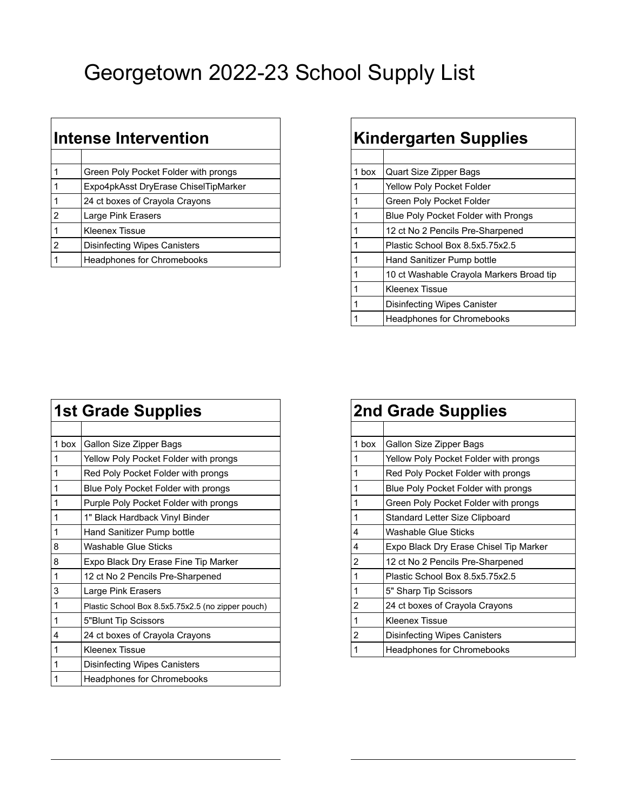## Georgetown 2022-23 School Supply List

| Intense Intervention |                                      |       | <b>Kindergarten Supplies</b>        |  |
|----------------------|--------------------------------------|-------|-------------------------------------|--|
|                      |                                      |       |                                     |  |
|                      | Green Poly Pocket Folder with prongs | 1 box | Quart Size Zipper Bags              |  |
|                      | Expo4pkAsst DryErase ChiselTipMarker |       | Yellow Poly Pocket Folder           |  |
|                      | 24 ct boxes of Crayola Crayons       |       | Green Poly Pocket Folder            |  |
| $\overline{2}$       | Large Pink Erasers                   |       | Blue Poly Pocket Folder with Prongs |  |
|                      | Kleenex Tissue                       |       | 12 ct No 2 Pencils Pre-Sharpened    |  |
| $\overline{2}$       | <b>Disinfecting Wipes Canisters</b>  |       | Plastic School Box 8.5x5.75x2.5     |  |
|                      | Headphones for Chromebooks           |       | Hand Sanitizer Pump bottle          |  |
|                      |                                      |       |                                     |  |

## **Kindergarten Supplies**

| 1 box | <b>Quart Size Zipper Bags</b>              |
|-------|--------------------------------------------|
|       | <b>Yellow Poly Pocket Folder</b>           |
| 1     | Green Poly Pocket Folder                   |
| 1     | <b>Blue Poly Pocket Folder with Prongs</b> |
| 1     | 12 ct No 2 Pencils Pre-Sharpened           |
|       | Plastic School Box 8.5x5.75x2.5            |
|       | Hand Sanitizer Pump bottle                 |
| 1     | 10 ct Washable Crayola Markers Broad tip   |
| 1     | Kleenex Tissue                             |
| 1     | Disinfecting Wipes Canister                |
|       | <b>Headphones for Chromebooks</b>          |
|       |                                            |

|                         | <b>1st Grade Supplies</b>                         |       | <b>2nd Grade Supplies</b>              |
|-------------------------|---------------------------------------------------|-------|----------------------------------------|
|                         |                                                   |       |                                        |
| 1 box                   | Gallon Size Zipper Bags                           | 1 box | Gallon Size Zipper Bags                |
| 1                       | Yellow Poly Pocket Folder with prongs             |       | Yellow Poly Pocket Folder with prongs  |
| 1                       | Red Poly Pocket Folder with prongs                |       | Red Poly Pocket Folder with prongs     |
| 1                       | Blue Poly Pocket Folder with prongs               |       | Blue Poly Pocket Folder with prongs    |
|                         | Purple Poly Pocket Folder with prongs             |       | Green Poly Pocket Folder with prongs   |
| 1                       | 1" Black Hardback Vinyl Binder                    |       | Standard Letter Size Clipboard         |
| $\mathbf{1}$            | Hand Sanitizer Pump bottle                        | 4     | Washable Glue Sticks                   |
| $\overline{\mathbf{8}}$ | <b>Washable Glue Sticks</b>                       | 4     | Expo Black Dry Erase Chisel Tip Marker |
| $\overline{8}$          | Expo Black Dry Erase Fine Tip Marker              | 2     | 12 ct No 2 Pencils Pre-Sharpened       |
| 1                       | 12 ct No 2 Pencils Pre-Sharpened                  |       | Plastic School Box 8.5x5.75x2.5        |
| $\mathsf 3$             | Large Pink Erasers                                |       | 5" Sharp Tip Scissors                  |
| 1                       | Plastic School Box 8.5x5.75x2.5 (no zipper pouch) | 2     | 24 ct boxes of Crayola Crayons         |
| $\mathbf{1}$            | 5"Blunt Tip Scissors                              |       | <b>Kleenex Tissue</b>                  |
| 4                       | 24 ct boxes of Crayola Crayons                    | 2     | <b>Disinfecting Wipes Canisters</b>    |
| 1                       | <b>Kleenex Tissue</b>                             |       | Headphones for Chromebooks             |
| 1                       | <b>Disinfecting Wipes Canisters</b>               |       |                                        |
|                         | <b>Headphones for Chromebooks</b>                 |       |                                        |

| <b>2nd Grade Supplies</b> |                                        |  |
|---------------------------|----------------------------------------|--|
|                           |                                        |  |
| 1 box                     | Gallon Size Zipper Bags                |  |
| 1                         | Yellow Poly Pocket Folder with prongs  |  |
| 1                         | Red Poly Pocket Folder with prongs     |  |
| 1                         | Blue Poly Pocket Folder with prongs    |  |
| 1                         | Green Poly Pocket Folder with prongs   |  |
| 1                         | Standard Letter Size Clipboard         |  |
| 4                         | <b>Washable Glue Sticks</b>            |  |
| 4                         | Expo Black Dry Erase Chisel Tip Marker |  |
| $\overline{2}$            | 12 ct No 2 Pencils Pre-Sharpened       |  |
| 1                         | Plastic School Box 8.5x5.75x2.5        |  |
| 1                         | 5" Sharp Tip Scissors                  |  |
| $\overline{2}$            | 24 ct boxes of Crayola Crayons         |  |
| 1                         | <b>Kleenex Tissue</b>                  |  |
| 2                         | Disinfecting Wipes Canisters           |  |
|                           | <b>Headphones for Chromebooks</b>      |  |